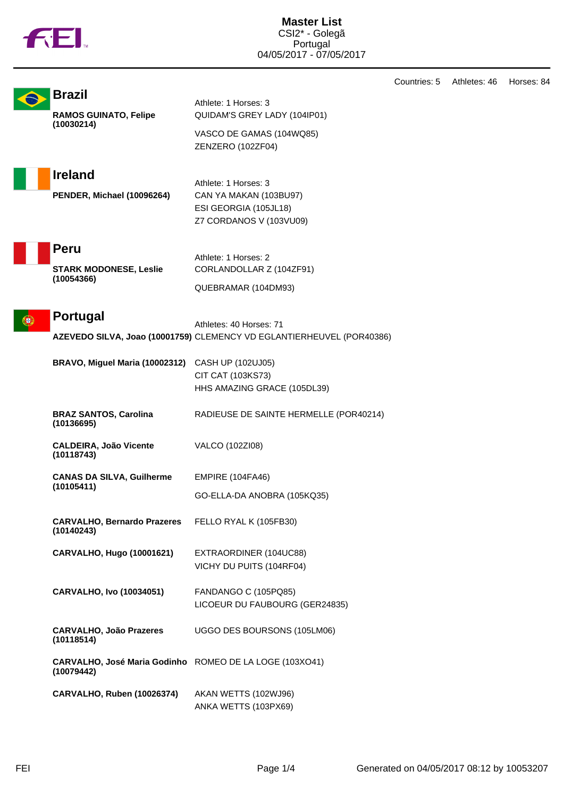|   | <b>TOL.</b>                                                           | <b>Master List</b><br>CSI2* - Golegã<br>Portugal<br>04/05/2017 - 07/05/2017                           |              |              |            |
|---|-----------------------------------------------------------------------|-------------------------------------------------------------------------------------------------------|--------------|--------------|------------|
|   | <b>Brazil</b><br><b>RAMOS GUINATO, Felipe</b><br>(10030214)           | Athlete: 1 Horses: 3<br>QUIDAM'S GREY LADY (104IP01)<br>VASCO DE GAMAS (104WQ85)<br>ZENZERO (102ZF04) | Countries: 5 | Athletes: 46 | Horses: 84 |
|   | <b>Ireland</b><br>PENDER, Michael (10096264)                          | Athlete: 1 Horses: 3<br>CAN YA MAKAN (103BU97)<br>ESI GEORGIA (105JL18)<br>Z7 CORDANOS V (103VU09)    |              |              |            |
|   | Peru<br><b>STARK MODONESE, Leslie</b><br>(10054366)                   | Athlete: 1 Horses: 2<br>CORLANDOLLAR Z (104ZF91)<br>QUEBRAMAR (104DM93)                               |              |              |            |
| ш | <b>Portugal</b>                                                       | Athletes: 40 Horses: 71<br>AZEVEDO SILVA, Joao (10001759) CLEMENCY VD EGLANTIERHEUVEL (POR40386)      |              |              |            |
|   | BRAVO, Miguel Maria (10002312)                                        | CASH UP (102UJ05)<br>CIT CAT (103KS73)<br>HHS AMAZING GRACE (105DL39)                                 |              |              |            |
|   | <b>BRAZ SANTOS, Carolina</b><br>(10136695)                            | RADIEUSE DE SAINTE HERMELLE (POR40214)                                                                |              |              |            |
|   | <b>CALDEIRA, João Vicente</b><br>(10118743)                           | VALCO (102ZI08)                                                                                       |              |              |            |
|   | <b>CANAS DA SILVA, Guilherme</b><br>(10105411)                        | <b>EMPIRE (104FA46)</b><br>GO-ELLA-DA ANOBRA (105KQ35)                                                |              |              |            |
|   | <b>CARVALHO, Bernardo Prazeres</b><br>(10140243)                      | FELLO RYAL K (105FB30)                                                                                |              |              |            |
|   | CARVALHO, Hugo (10001621)                                             | EXTRAORDINER (104UC88)<br>VICHY DU PUITS (104RF04)                                                    |              |              |            |
|   | <b>CARVALHO, Ivo (10034051)</b>                                       | FANDANGO C (105PQ85)<br>LICOEUR DU FAUBOURG (GER24835)                                                |              |              |            |
|   | <b>CARVALHO, João Prazeres</b><br>(10118514)                          | UGGO DES BOURSONS (105LM06)                                                                           |              |              |            |
|   | CARVALHO, José Maria Godinho ROMEO DE LA LOGE (103XO41)<br>(10079442) |                                                                                                       |              |              |            |
|   | <b>CARVALHO, Ruben (10026374)</b>                                     | AKAN WETTS (102WJ96)<br>ANKA WETTS (103PX69)                                                          |              |              |            |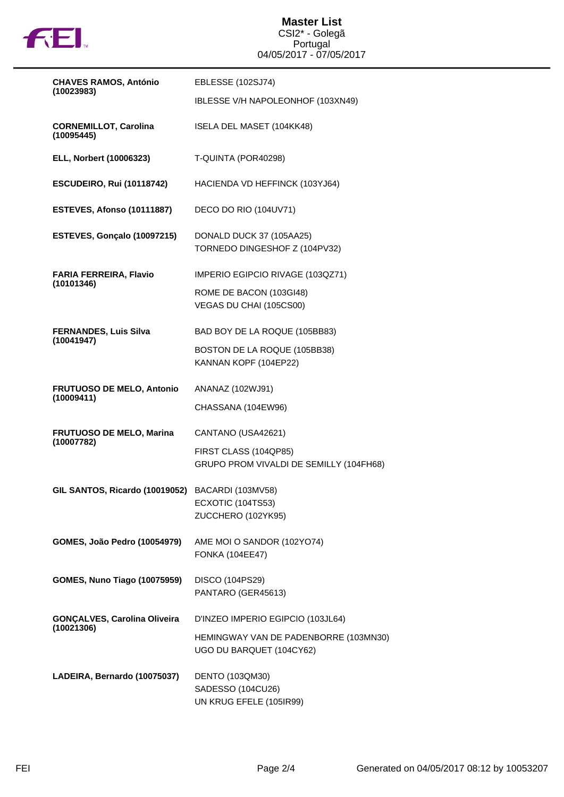

**Master List** CSI2\* - Golegã Portugal 04/05/2017 - 07/05/2017

| <b>CHAVES RAMOS, António</b>                     | EBLESSE (102SJ74)                                                 |  |  |
|--------------------------------------------------|-------------------------------------------------------------------|--|--|
| (10023983)                                       | IBLESSE V/H NAPOLEONHOF (103XN49)                                 |  |  |
| <b>CORNEMILLOT, Carolina</b><br>(10095445)       | ISELA DEL MASET (104KK48)                                         |  |  |
| ELL, Norbert (10006323)                          | T-QUINTA (POR40298)                                               |  |  |
| <b>ESCUDEIRO, Rui (10118742)</b>                 | HACIENDA VD HEFFINCK (103YJ64)                                    |  |  |
| ESTEVES, Afonso (10111887)                       | DECO DO RIO (104UV71)                                             |  |  |
| ESTEVES, Gonçalo (10097215)                      | DONALD DUCK 37 (105AA25)<br>TORNEDO DINGESHOF Z (104PV32)         |  |  |
| <b>FARIA FERREIRA, Flavio</b><br>(10101346)      | IMPERIO EGIPCIO RIVAGE (103QZ71)                                  |  |  |
|                                                  | ROME DE BACON (103GI48)<br>VEGAS DU CHAI (105CS00)                |  |  |
| <b>FERNANDES, Luis Silva</b><br>(10041947)       | BAD BOY DE LA ROQUE (105BB83)                                     |  |  |
|                                                  | BOSTON DE LA ROQUE (105BB38)<br>KANNAN KOPF (104EP22)             |  |  |
| <b>FRUTUOSO DE MELO, Antonio</b><br>(10009411)   | ANANAZ (102WJ91)                                                  |  |  |
|                                                  | CHASSANA (104EW96)                                                |  |  |
| FRUTUOSO DE MELO, Marina<br>(10007782)           | CANTANO (USA42621)                                                |  |  |
|                                                  | FIRST CLASS (104QP85)<br>GRUPO PROM VIVALDI DE SEMILLY (104FH68)  |  |  |
| GIL SANTOS, Ricardo (10019052) BACARDI (103MV58) |                                                                   |  |  |
|                                                  | ECXOTIC (104TS53)<br>ZUCCHERO (102YK95)                           |  |  |
| GOMES, João Pedro (10054979)                     | AME MOI O SANDOR (102YO74)<br><b>FONKA (104EE47)</b>              |  |  |
| <b>GOMES, Nuno Tiago (10075959)</b>              | DISCO (104PS29)<br>PANTARO (GER45613)                             |  |  |
| <b>GONÇALVES, Carolina Oliveira</b>              | D'INZEO IMPERIO EGIPCIO (103JL64)                                 |  |  |
| (10021306)                                       | HEMINGWAY VAN DE PADENBORRE (103MN30)<br>UGO DU BARQUET (104CY62) |  |  |
| LADEIRA, Bernardo (10075037)                     | DENTO (103QM30)<br>SADESSO (104CU26)<br>UN KRUG EFELE (105IR99)   |  |  |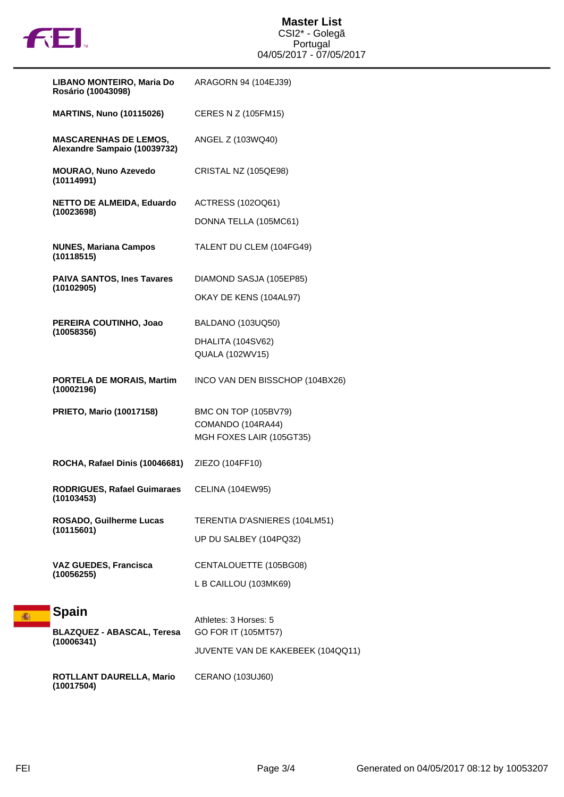

| LIBANO MONTEIRO, Maria Do<br>Rosário (10043098)              | ARAGORN 94 (104EJ39)                          |
|--------------------------------------------------------------|-----------------------------------------------|
| <b>MARTINS, Nuno (10115026)</b>                              | CERES N Z (105FM15)                           |
| <b>MASCARENHAS DE LEMOS,</b><br>Alexandre Sampaio (10039732) | ANGEL Z (103WQ40)                             |
| <b>MOURAO, Nuno Azevedo</b><br>(10114991)                    | CRISTAL NZ (105QE98)                          |
| <b>NETTO DE ALMEIDA, Eduardo</b><br>(10023698)               | ACTRESS (102OQ61)                             |
|                                                              | DONNA TELLA (105MC61)                         |
| <b>NUNES, Mariana Campos</b><br>(10118515)                   | TALENT DU CLEM (104FG49)                      |
| <b>PAIVA SANTOS, Ines Tavares</b><br>(10102905)              | DIAMOND SASJA (105EP85)                       |
|                                                              | OKAY DE KENS (104AL97)                        |
| PEREIRA COUTINHO, Joao<br>(10058356)                         | BALDANO (103UQ50)                             |
|                                                              | DHALITA (104SV62)                             |
|                                                              | QUALA (102WV15)                               |
| <b>PORTELA DE MORAIS, Martim</b><br>(10002196)               | INCO VAN DEN BISSCHOP (104BX26)               |
| <b>PRIETO, Mario (10017158)</b>                              | BMC ON TOP (105BV79)                          |
|                                                              | COMANDO (104RA44)<br>MGH FOXES LAIR (105GT35) |
| ROCHA, Rafael Dinis (10046681)                               | ZIEZO (104FF10)                               |
| <b>RODRIGUES, Rafael Guimaraes</b><br>(10103453)             | <b>CELINA (104EW95)</b>                       |
| <b>ROSADO, Guilherme Lucas</b><br>(10115601)                 | TERENTIA D'ASNIERES (104LM51)                 |
|                                                              | UP DU SALBEY (104PQ32)                        |
| <b>VAZ GUEDES, Francisca</b>                                 | CENTALOUETTE (105BG08)                        |
| (10056255)                                                   | L B CAILLOU (103MK69)                         |
| Spain                                                        |                                               |
| <b>BLAZQUEZ - ABASCAL, Teresa</b>                            | Athletes: 3 Horses: 5<br>GO FOR IT (105MT57)  |
| (10006341)                                                   | JUVENTE VAN DE KAKEBEEK (104QQ11)             |
| <b>ROTLLANT DAURELLA, Mario</b><br>(10017504)                | <b>CERANO (103UJ60)</b>                       |

高